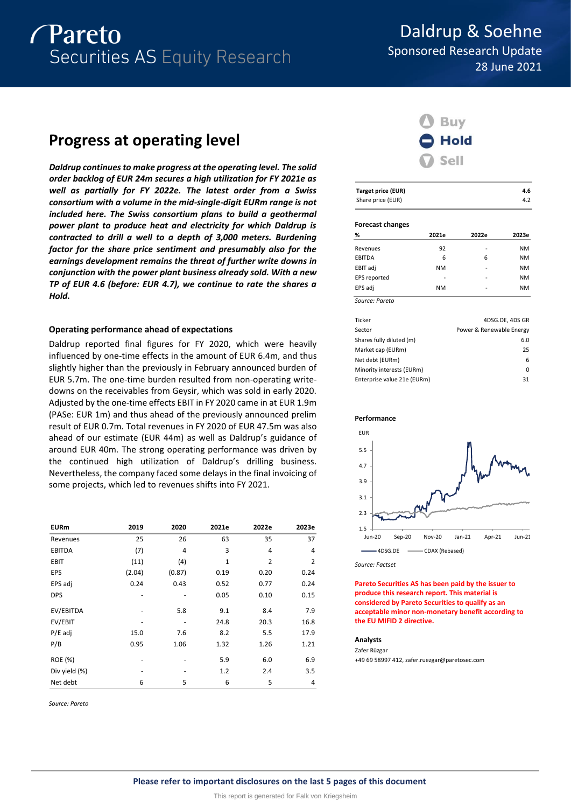# *Pareto* Securities AS Equity Research

# Daldrup & Soehne Sponsored Research Update 28 June 2021

# **Progress at operating level**

*Daldrup continues to make progress at the operating level. The solid order backlog of EUR 24m secures a high utilization for FY 2021e as well as partially for FY 2022e. The latest order from a Swiss consortium with a volume in the mid-single-digit EURm range is not included here. The Swiss consortium plans to build a geothermal power plant to produce heat and electricity for which Daldrup is contracted to drill a well to a depth of 3,000 meters. Burdening factor for the share price sentiment and presumably also for the earnings development remains the threat of further write downs in conjunction with the power plant business already sold. With a new TP of EUR 4.6 (before: EUR 4.7), we continue to rate the shares a Hold.*

# **Operating performance ahead of expectations**

Daldrup reported final figures for FY 2020, which were heavily influenced by one-time effects in the amount of EUR 6.4m, and thus slightly higher than the previously in February announced burden of EUR 5.7m. The one-time burden resulted from non-operating writedowns on the receivables from Geysir, which was sold in early 2020. Adjusted by the one-time effects EBIT in FY 2020 came in at EUR 1.9m (PASe: EUR 1m) and thus ahead of the previously announced prelim result of EUR 0.7m. Total revenues in FY 2020 of EUR 47.5m was also ahead of our estimate (EUR 44m) as well as Daldrup's guidance of around EUR 40m. The strong operating performance was driven by the continued high utilization of Daldrup's drilling business. Nevertheless, the company faced some delays in the final invoicing of some projects, which led to revenues shifts into FY 2021.

| <b>EURm</b>    | 2019   | 2020   | 2021e | 2022e | 2023e          |
|----------------|--------|--------|-------|-------|----------------|
| Revenues       | 25     | 26     | 63    | 35    | 37             |
| <b>EBITDA</b>  | (7)    | 4      | 3     | 4     | 4              |
| <b>EBIT</b>    | (11)   | (4)    | 1     | 2     | $\overline{2}$ |
| <b>EPS</b>     | (2.04) | (0.87) | 0.19  | 0.20  | 0.24           |
| EPS adj        | 0.24   | 0.43   | 0.52  | 0.77  | 0.24           |
| <b>DPS</b>     |        |        | 0.05  | 0.10  | 0.15           |
| EV/EBITDA      |        | 5.8    | 9.1   | 8.4   | 7.9            |
| EV/EBIT        |        |        | 24.8  | 20.3  | 16.8           |
| $P/E$ adj      | 15.0   | 7.6    | 8.2   | 5.5   | 17.9           |
| P/B            | 0.95   | 1.06   | 1.32  | 1.26  | 1.21           |
| <b>ROE</b> (%) |        |        | 5.9   | 6.0   | 6.9            |
| Div yield (%)  |        |        | 1.2   | 2.4   | 3.5            |
| Net debt       | 6      | 5      | 6     | 5     | 4              |

*Source: Pareto*



| Target price (EUR) | 4.6 |
|--------------------|-----|
| Share price (EUR)  | 4.2 |

### **Forecast changes**

| %              | 2021e     | 2022e | 2023e     |
|----------------|-----------|-------|-----------|
| Revenues       | 92        | -     | <b>NM</b> |
| EBITDA         | 6         | 6     | <b>NM</b> |
| EBIT adj       | <b>NM</b> |       | <b>NM</b> |
| EPS reported   |           |       | <b>NM</b> |
| EPS adj        | <b>NM</b> | -     | <b>NM</b> |
| Source: Pareto |           |       |           |

| Ticker                      | 4DSG.DE. 4DS GR          |
|-----------------------------|--------------------------|
| Sector                      | Power & Renewable Energy |
| Shares fully diluted (m)    | 6.0                      |
| Market cap (EURm)           | 25                       |
| Net debt (EURm)             | 6                        |
| Minority interests (EURm)   | 0                        |
| Enterprise value 21e (EURm) | 31                       |

### **Performance**



*Source: Factset*

**Pareto Securities AS has been paid by the issuer to produce this research report. This material is considered by Pareto Securities to qualify as an acceptable minor non-monetary benefit according to the EU MIFID 2 directive.**

#### **Analysts**

Zafer Rüzgar +49 69 58997 412, zafer.ruezgar@paretosec.com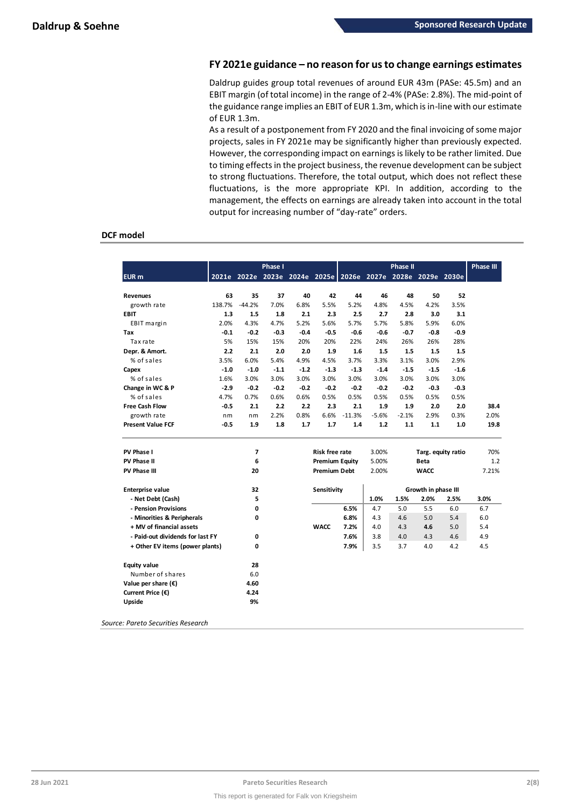# **FY 2021e guidance – no reason for us to change earnings estimates**

Daldrup guides group total revenues of around EUR 43m (PASe: 45.5m) and an EBIT margin (of total income) in the range of 2-4% (PASe: 2.8%). The mid-point of the guidance range implies an EBIT of EUR 1.3m, which is in-line with our estimate of EUR 1.3m.

As a result of a postponement from FY 2020 and the final invoicing of some major projects, sales in FY 2021e may be significantly higher than previously expected. However, the corresponding impact on earnings is likely to be rather limited. Due to timing effects in the project business, the revenue development can be subject to strong fluctuations. Therefore, the total output, which does not reflect these fluctuations, is the more appropriate KPI. In addition, according to the management, the effects on earnings are already taken into account in the total output for increasing number of "day-rate" orders.

# **DCF model**

|                                  |        |                | <b>Phase I</b> |        |                       |                                                             |         | <b>Phase II</b> |                     |                    | <b>Phase III</b> |
|----------------------------------|--------|----------------|----------------|--------|-----------------------|-------------------------------------------------------------|---------|-----------------|---------------------|--------------------|------------------|
| <b>EUR</b> m                     |        |                |                |        |                       | 2021e 2022e 2023e 2024e 2025e 2026e 2027e 2028e 2029e 2030e |         |                 |                     |                    |                  |
| <b>Revenues</b>                  | 63     | 35             | 37             | 40     | 42                    | 44                                                          | 46      | 48              | 50                  | 52                 |                  |
| growth rate                      | 138.7% | $-44.2%$       | 7.0%           | 6.8%   | 5.5%                  | 5.2%                                                        | 4.8%    | 4.5%            | 4.2%                | 3.5%               |                  |
| <b>EBIT</b>                      | 1.3    | 1.5            | 1.8            | 2.1    | 2.3                   | 2.5                                                         | 2.7     | 2.8             | 3.0                 | 3.1                |                  |
| EBIT margin                      | 2.0%   | 4.3%           | 4.7%           | 5.2%   | 5.6%                  | 5.7%                                                        | 5.7%    | 5.8%            | 5.9%                | 6.0%               |                  |
| Tax                              | -0.1   | $-0.2$         | $-0.3$         | $-0.4$ | $-0.5$                | $-0.6$                                                      | $-0.6$  | $-0.7$          | $-0.8$              | $-0.9$             |                  |
| Tax rate                         | 5%     | 15%            | 15%            | 20%    | 20%                   | 22%                                                         | 24%     | 26%             | 26%                 | 28%                |                  |
| Depr. & Amort.                   | 2.2    | 2.1            | 2.0            | 2.0    | 1.9                   | 1.6                                                         | 1.5     | 1.5             | 1.5                 | 1.5                |                  |
| % of sales                       | 3.5%   | 6.0%           | 5.4%           | 4.9%   | 4.5%                  | 3.7%                                                        | 3.3%    | 3.1%            | 3.0%                | 2.9%               |                  |
| Capex                            | $-1.0$ | $-1.0$         | $-1.1$         | $-1.2$ | $-1.3$                | $-1.3$                                                      | $-1.4$  | $-1.5$          | $-1.5$              | $-1.6$             |                  |
| % of sales                       | 1.6%   | 3.0%           | 3.0%           | 3.0%   | 3.0%                  | 3.0%                                                        | 3.0%    | 3.0%            | 3.0%                | 3.0%               |                  |
| Change in WC & P                 | $-2.9$ | $-0.2$         | $-0.2$         | $-0.2$ | $-0.2$                | $-0.2$                                                      | $-0.2$  | $-0.2$          | $-0.3$              | $-0.3$             |                  |
| % of sales                       | 4.7%   | 0.7%           | 0.6%           | 0.6%   | 0.5%                  | 0.5%                                                        | 0.5%    | 0.5%            | 0.5%                | 0.5%               |                  |
| <b>Free Cash Flow</b>            | -0.5   | 2.1            | 2.2            | 2.2    | 2.3                   | 2.1                                                         | 1.9     | 1.9             | 2.0                 | 2.0                | 38.4             |
| growth rate                      | nm     | nm             | 2.2%           | 0.8%   | 6.6%                  | $-11.3%$                                                    | $-5.6%$ | $-2.1%$         | 2.9%                | 0.3%               | 2.0%             |
| <b>Present Value FCF</b>         | $-0.5$ | 1.9            | 1.8            | 1.7    | 1.7                   | 1.4                                                         | 1.2     | 1.1             | 1.1                 | 1.0                | 19.8             |
| PV Phase I                       |        | $\overline{7}$ |                |        | <b>Risk free rate</b> |                                                             | 3.00%   |                 |                     | Targ. equity ratio | 70%              |
| PV Phase II                      |        | 6              |                |        | <b>Premium Equity</b> |                                                             | 5.00%   |                 | <b>Beta</b>         |                    | 1.2              |
| <b>PV Phase III</b>              |        | 20             |                |        | <b>Premium Debt</b>   |                                                             | 2.00%   |                 | <b>WACC</b>         |                    | 7.21%            |
| <b>Enterprise value</b>          |        | 32             |                |        | Sensitivity           |                                                             |         |                 | Growth in phase III |                    |                  |
| - Net Debt (Cash)                |        | 5              |                |        |                       |                                                             | 1.0%    | 1.5%            | 2.0%                | 2.5%               | 3.0%             |
|                                  |        |                |                |        |                       |                                                             |         |                 |                     |                    |                  |
| - Pension Provisions             |        | 0              |                |        |                       | 6.5%                                                        | 4.7     | 5.0             | 5.5                 | 6.0                | 6.7              |
| - Minorities & Peripherals       |        | 0              |                |        |                       | 6.8%                                                        | 4.3     | 4.6             | 5.0                 | 5.4                | 6.0              |
| + MV of financial assets         |        |                |                |        | <b>WACC</b>           | 7.2%                                                        | 4.0     | 4.3             | 4.6                 | 5.0                | 5.4              |
| - Paid-out dividends for last FY |        | $\mathbf 0$    |                |        |                       | 7.6%                                                        | 3.8     | 4.0             | 4.3                 | 4.6                | 4.9              |
| + Other EV items (power plants)  |        | 0              |                |        |                       | 7.9%                                                        | 3.5     | 3.7             | 4.0                 | 4.2                | 4.5              |
| <b>Equity value</b>              |        | 28             |                |        |                       |                                                             |         |                 |                     |                    |                  |
| Number of shares                 |        | 6.0            |                |        |                       |                                                             |         |                 |                     |                    |                  |
| Value per share $(\epsilon)$     |        | 4.60           |                |        |                       |                                                             |         |                 |                     |                    |                  |
| Current Price (€)                |        | 4.24           |                |        |                       |                                                             |         |                 |                     |                    |                  |
| Upside                           |        | 9%             |                |        |                       |                                                             |         |                 |                     |                    |                  |

*Source: Pareto Securities Research*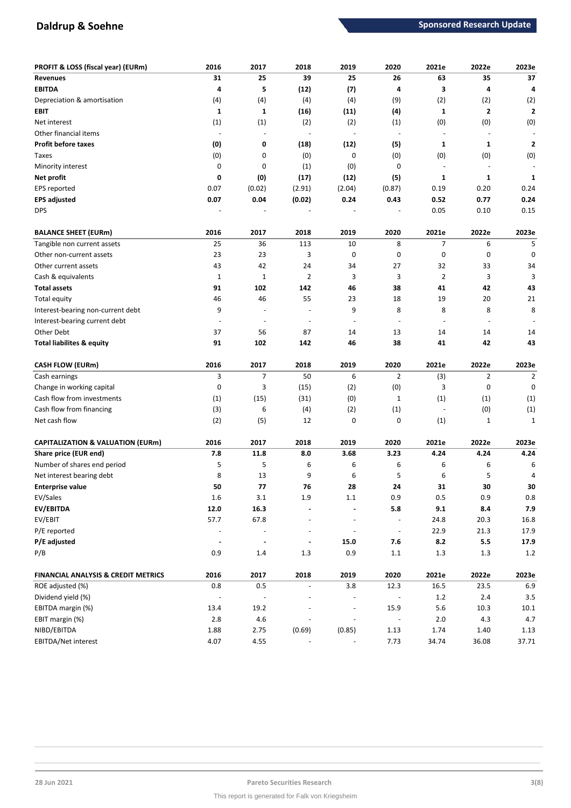# **Daldrup & Soehne Sponsored Research Update Sponsored Research Update**

| PROFIT & LOSS (fiscal year) (EURm)             | 2016                     | 2017                     | 2018                     | 2019                     | 2020                     | 2021e   | 2022e          | 2023e          |
|------------------------------------------------|--------------------------|--------------------------|--------------------------|--------------------------|--------------------------|---------|----------------|----------------|
| <b>Revenues</b>                                | 31                       | 25                       | 39                       | 25                       | 26                       | 63      | 35             | 37             |
| <b>EBITDA</b>                                  | 4                        | 5                        | (12)                     | (7)                      | 4                        | 3       | 4              | 4              |
| Depreciation & amortisation                    | (4)                      | (4)                      | (4)                      | (4)                      | (9)                      | (2)     | (2)            | (2)            |
| <b>EBIT</b>                                    | $\mathbf{1}$             | 1                        | (16)                     | (11)                     | (4)                      | 1       | $\mathbf{2}$   | $\overline{2}$ |
| Net interest                                   | (1)                      | (1)                      | (2)                      | (2)                      | (1)                      | (0)     | (0)            | (0)            |
| Other financial items                          |                          | $\sim$                   | ÷,                       | $\overline{\phantom{a}}$ | $\blacksquare$           |         |                |                |
| <b>Profit before taxes</b>                     | (0)                      | 0                        | (18)                     | (12)                     | (5)                      | 1       | $\mathbf{1}$   | 2              |
| Taxes                                          | (0)                      | 0                        | (0)                      | 0                        | (0)                      | (0)     | (0)            | (0)            |
| Minority interest                              | 0                        | 0                        | (1)                      | (0)                      | 0                        |         | $\overline{a}$ |                |
| Net profit                                     | 0                        | (0)                      | (17)                     | (12)                     | (5)                      | 1       | $\mathbf{1}$   | $\mathbf{1}$   |
| EPS reported                                   | 0.07                     | (0.02)                   | (2.91)                   | (2.04)                   | (0.87)                   | 0.19    | 0.20           | 0.24           |
| <b>EPS adjusted</b>                            | 0.07                     | 0.04                     | (0.02)                   | 0.24                     | 0.43                     | 0.52    | 0.77           | 0.24           |
| <b>DPS</b>                                     |                          |                          |                          |                          |                          | 0.05    | 0.10           | 0.15           |
|                                                |                          |                          |                          |                          |                          |         |                |                |
| <b>BALANCE SHEET (EURm)</b>                    | 2016                     | 2017                     | 2018                     | 2019                     | 2020                     | 2021e   | 2022e          | 2023e          |
| Tangible non current assets                    | 25                       | 36                       | 113                      | 10                       | 8                        | 7       | 6              | 5              |
| Other non-current assets                       | 23                       | 23                       | 3                        | 0                        | 0                        | 0       | 0              | 0              |
| Other current assets                           | 43                       | 42                       | 24                       | 34                       | 27                       | 32      | 33             | 34             |
| Cash & equivalents                             | $\mathbf{1}$             | $\mathbf{1}$             | 2                        | 3                        | 3                        | 2       | 3              | 3              |
| <b>Total assets</b>                            | 91                       | 102                      | 142                      | 46                       | 38                       | 41      | 42             | 43             |
| Total equity                                   | 46                       | 46                       | 55                       | 23                       | 18                       | 19      | 20             | 21             |
| Interest-bearing non-current debt              | 9                        | $\overline{\phantom{a}}$ | ٠                        | 9                        | 8                        | 8       | 8              | 8              |
| Interest-bearing current debt                  |                          | $\overline{\phantom{a}}$ | $\overline{\phantom{a}}$ | $\overline{\phantom{a}}$ | $\overline{\phantom{a}}$ |         |                |                |
| Other Debt                                     | 37                       | 56                       | 87                       | 14                       | 13                       | 14      | 14             | 14             |
| <b>Total liabilites &amp; equity</b>           | 91                       | 102                      | 142                      | 46                       | 38                       | 41      | 42             | 43             |
| <b>CASH FLOW (EURm)</b>                        | 2016                     | 2017                     | 2018                     | 2019                     | 2020                     | 2021e   | 2022e          | 2023e          |
| Cash earnings                                  | 3                        | $\overline{7}$           | 50                       | 6                        | 2                        | (3)     | $\overline{2}$ | 2              |
| Change in working capital                      | 0                        | 3                        | (15)                     | (2)                      | (0)                      | 3       | 0              | 0              |
| Cash flow from investments                     | (1)                      | (15)                     | (31)                     | (0)                      | $\mathbf{1}$             | (1)     | (1)            | (1)            |
| Cash flow from financing                       | (3)                      | 6                        | (4)                      | (2)                      | (1)                      |         | (0)            | (1)            |
| Net cash flow                                  | (2)                      | (5)                      | 12                       | 0                        | 0                        | (1)     | $\mathbf{1}$   | 1              |
|                                                |                          |                          |                          |                          |                          |         |                |                |
| <b>CAPITALIZATION &amp; VALUATION (EURm)</b>   | 2016                     | 2017                     | 2018                     | 2019                     | 2020                     | 2021e   | 2022e          | 2023e          |
| Share price (EUR end)                          | 7.8                      | 11.8                     | 8.0                      | 3.68                     | 3.23                     | 4.24    | 4.24           | 4.24           |
| Number of shares end period                    | 5                        | 5                        | 6                        | 6                        | 6                        | 6       | 6              | 6              |
| Net interest bearing debt                      | 8                        | 13                       | 9                        | 6                        | 5                        | 6       | 5              | 4              |
| <b>Enterprise value</b>                        | 50                       | 77                       | 76                       | 28                       | 24                       | 31      | 30             | 30             |
| EV/Sales                                       | $1.6\,$                  | $3.1\,$                  | 1.9                      | $1.1\,$                  | 0.9                      | 0.5     | 0.9            | $0.8\,$        |
| EV/EBITDA                                      | 12.0                     | 16.3                     |                          |                          | 5.8                      | 9.1     | 8.4            | 7.9            |
| EV/EBIT                                        | 57.7                     | 67.8                     | ÷,                       | $\overline{\phantom{a}}$ | $\overline{\phantom{a}}$ | 24.8    | 20.3           | 16.8           |
| P/E reported                                   | $\overline{\phantom{a}}$ | $\blacksquare$           |                          | $\overline{\phantom{a}}$ | $\overline{\phantom{a}}$ | 22.9    | 21.3           | 17.9           |
| P/E adjusted                                   | $\blacksquare$           | $\blacksquare$           | $\blacksquare$           | 15.0                     | 7.6                      | 8.2     | $5.5\,$        | 17.9           |
| P/B                                            | 0.9                      | 1.4                      | $1.3\,$                  | 0.9                      | 1.1                      | 1.3     | 1.3            | $1.2\,$        |
| <b>FINANCIAL ANALYSIS &amp; CREDIT METRICS</b> | 2016                     | 2017                     | 2018                     | 2019                     | 2020                     | 2021e   | 2022e          | 2023e          |
| ROE adjusted (%)                               | 0.8                      | $0.5\,$                  | $\overline{\phantom{a}}$ | 3.8                      | 12.3                     | 16.5    | 23.5           | 6.9            |
| Dividend yield (%)                             |                          |                          |                          |                          |                          | $1.2\,$ | 2.4            | 3.5            |
| EBITDA margin (%)                              | 13.4                     | 19.2                     |                          | $\overline{a}$           | 15.9                     | $5.6$   | 10.3           | 10.1           |
| EBIT margin (%)                                | $2.8\,$                  | $4.6\,$                  | $\overline{\phantom{m}}$ | $\overline{\phantom{a}}$ | $\frac{1}{2}$            | $2.0\,$ | 4.3            | 4.7            |
|                                                |                          |                          |                          |                          |                          |         |                |                |
| NIBD/EBITDA                                    | 1.88                     | 2.75                     | (0.69)                   | (0.85)                   | 1.13                     | 1.74    | 1.40           | 1.13           |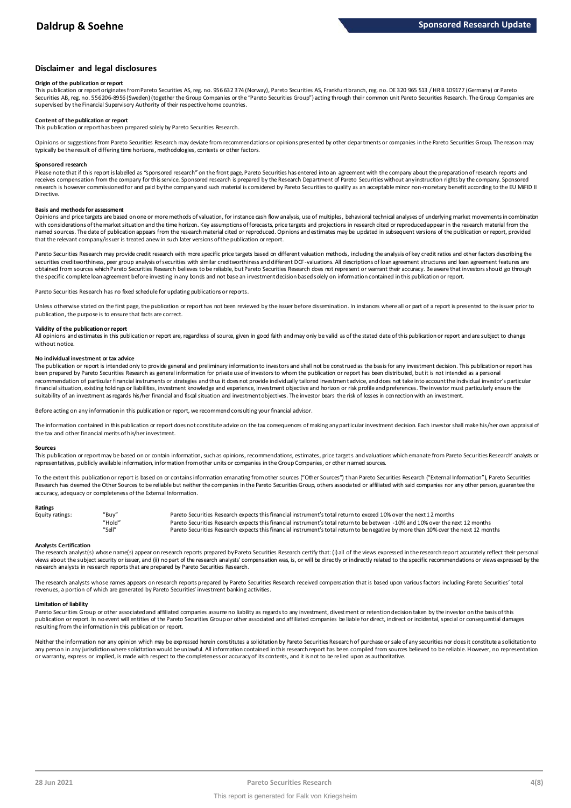### **Disclaimer and legal disclosures**

#### **Origin of the publication or report**

This publication or report originates from Pareto Securities AS, reg. no. 956 632 374 (Norway), Pareto Securities AS, Frankfu rt branch, reg. no. DE 320 965 513 / HR B 109177 (Germany) or Pareto Securities AB. reg. no. 556206-8956 (Sweden) (together the Group Companies or the "Pareto Securities Group") acting through their common unit Pareto Securities Research. The Group Companies are supervised by the Financial Supervisory Authority of their respective home countries.

#### **Content of the publication or report**

This publication or report has been prepared solely by Pareto Securities Research.

Opinions or suggestions from Pareto Securities Research may deviate from recommendations or opinions presented by other departments or companies in the Pareto Securities Group. The reason may typically be the result of differing time horizons, methodologies, contexts or other factors.

#### **Sponsored research**

Please note that if this report is labelled as "sponsored research" on the front page, Pareto Securities has entered into an agreement with the company about the preparation of research reports and receives compensation from the company for this service. Sponsored research is prepared by the Research Department of Pareto Securities without any instruction rights by the company. Sponsored research is however commissioned for and paid by the company and such material is considered by Pareto Securities to qualify as an acceptable minor non-monetary benefit according to the EU MiFID II Directive.

#### **Basis and methods for assessment**

Opinions and price targets are based on one or more methods of valuation, for instance cash flow analysis, use of multiples, behavioral technical analyses of underlying market movements in combination with considerations of the market situation and the time horizon. Key assumptions of forecasts, price targets and projections in research cited or reproduced appear in the research material from the named sources. The date of publication appears from the research material cited or reproduced. Opinions and estimates may be updated in subsequent versions of the publication or report, provided in and social cited or repo that the relevant company/issuer is treated anew in such later versions of the publication or report.

Pareto Securities Research may provide credit research with more specific price targets based on different valuation methods, including the analysis of key credit ratios and other factors describing the securities creditworthiness, peer group analysis of securities with similar creditworthiness and different DCF-valuations. All descriptions of loan agreement structures and loan agreement features are obtained from sources which Pareto Securities Research believes to be reliable, but Pareto Securities Research does not represent or warrant their accuracy. Be aware that investors should go through the specific complete loan agreement before investing in any bonds and not base an investment decision based solely on information contained in this publication or report.

Pareto Securities Research has no fixed schedule for updating publications or reports.

Unless otherwise stated on the first page, the publication or report has not been reviewed by the issuer before dissemination. In instances where all or part of a report is presented to the issuer prior to publication, the purpose is to ensure that facts are correct.

#### **Validity of the publication or report**

All opinions and estimates in this publication or report are, regardless of source, given in good faith and may only be valid as of the stated date of this publication or report and are subject to change without notice.

#### **No individual investment or tax advice**

The publication or report is intended only to provide general and preliminary information to investors and shall not be construed as the basis for any investment decision. This publication or report has been prepared by Pareto Securities Research as general information for private use of investors to whom the publication or report has been distributed, but it is not intended as a personal recommendation of partiɑɪlar financial instruments or strategies and thus it does not provide individually tailored investmen tadvice, and does not take into account the individual investor's particular<br>financial situation suitability of an investment as regards his/her financial and fiscal situation and investment objectives. The investor bears the risk of losses in connection with an investment.

Before acting on any information in this publication or report, we recommend consulting your financial advisor.

The information contained in this publication or report does not constitute advice on the tax consequences of making any particular investment decision. Each investor shall make his/her own appraisal of the tax and other financial merits of his/her investment.

#### **Sources**

This publication or report may be based on or contain information, such as opinions, recommendations, estimates, price targets and valuations which emanate from Pareto Securities Research' analysts or representatives, publicly available information, information from other units or companies in the Group Companies, or other named sources.

To the extent this publication or report is based on or contains information emanating from other sources "Other Sources") than Pareto Securities Research ("External Information"), Pareto Securities Research has deemed the Other Sources to be reliable but neither the companies in the Pareto Securities Group, others associated or affiliated with said companies nor any other person, guarantee the accuracy, adequacy or completeness of the External Information.

#### **Ratings**

| Equity ratings: | "Buy"  | Pareto Securities Research expects this financial instrument's total return to exceed 10% over the next 12 months                   |
|-----------------|--------|-------------------------------------------------------------------------------------------------------------------------------------|
|                 | "Hold" | Pareto Securities Research expects this financial instrument's total return to be between -10% and 10% over the next 12 months      |
|                 | "Sell" | Pareto Securities Research expects this financial instrument's total return to be negative by more than 10% over the next 12 months |

Analysts Certification<br>The research analyst(s) whose name(s) appear on research reports prepared by Pareto Securities Research certify that: (i) all of the views expressed in the research report accurately reflect their pe "Hold" Pareto Securities Research expects this financial instrument's total return to be between -10% and 10% over the next 12 months<br>"Sell" Pareto Securities Research expects this financial instrument's total return to be research analysts in research reports that are prepared by Pareto Securities Research.

The research analysts whose names appears on research reports prepared by Pareto Securities Research received compensation that is based upon various factors including Pareto Securities' total<br>revenues, a portion of which

#### **Limitation of liability**

Pareto Securities Group or other associated and affiliated companies assume no liablity as regards to any investment, divestment or retention decision taken by the investor on the basis of this<br>publication or report. In no resulting from the information in this publication or report.

Neither the information nor any opinion which may be expressed herein constitutes a soligitation by Pareto Securities Research of purchase or sale of any securities nor does it constitute a soligitation to any person in any jurisdiction where soligtation would be unlawful. All information contained in this research report has been compiled from sources believed to be reliable. However, no representation or warranty, express or implied, is made with respect to the completeness or accuracy of its contents, and it is not to be relied upon as authoritative.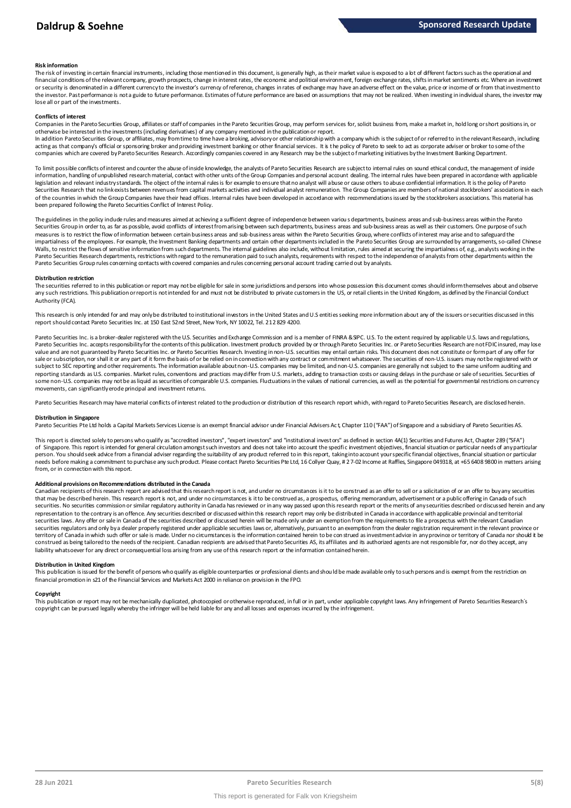#### **Risk information**

The risk of investing in certain financial instruments, including those mentioned in this document, is generally high, as their market value is exposed to a lot of different factors such as the operational and financial conditions of the relevant company, growth prospects, change in interest rates, the economic and political environment, foreign exchange rates, shifts in market sentiments etc. Where an investment metally propert the investor. Past performance is not a guide to future performance. Estimates of future performance are based on assumptions that may not be realized. When investing in individual shares, the investor may lose all or part of the investments.

#### **Conflicts of interest**

Companies in the Pareto Securities Group, affiliates or staff of companies in the Pareto Securities Group, may perform services for, solicit business from, make a market in, hold long or short positions in, or otherwise be interested in the investments (including derivatives) of any company mentioned in the publication or report.

In addition Pareto Securities Group, or affiliates, may from time to time have a broking, advisory or other relationship with a company which is the subject of or referred to in the relevant Research, including acting as that company's official or sponsoring broker and providing investment banking or other financial services. It is the policy of Pareto to seek to act as corporate adviser or broker to some of the<br>companies which a

To limit possible conflicts of interest and counter the abuse of inside knowledge, the analysts of Pareto Securities Research are subject to internal rules on sound ethical conduct, the management of inside<br>information, ha legislation and relevant industry standards. The object of the internal rules is for example to ensure that no analyst will abuse or cause others to abuse confidential information. It is the policy of Pareto Securities Research that no link exists between revenues from capital markets activities and individual analyst remuneration. The Group Companies are members of national stockbrokers' associations in each of the countries in which the Group Companies have their head offices. Internal rules have been developed in accordance with recommendations issued by the stockbrokers associations. This material has been prepared following the Pareto Securities Conflict of Interest Policy.

The guidelines in the policy indude rules and measures aimed at achieving a sufficient degree of independence between variou s departments, business areas and sub-business areas within the Pareto Securities Group in order to, as far as possible, avoid conflicts of interest from arising between such departments, business areas and sub-business areas as well as their customers. One purpose of such measures is to restrict the flow of information between certain business areas and sub-business areas within the Pareto Securities Group, where conflicts of interest may arise and to safeguard the impartialness of the employees. For example, the Investment Banking departments and certain other departments included in the Pareto Securities Group are surrounded by arrangements, so-called Chinese Walls, to restrict the flows of sensitive information from such departments. The internal guidelines also include, without limitation, rules aimed at securing the impartialness of, e.g., analysts working in the Pareto Securities Research departments, restrictions with regard to the remuneration paid to such analysts, requirements with respect to the independence of analysts from other departments within the Pareto Securities Group rules concerning contacts with covered companies and rules concerning personal account trading carried out by analysts.

#### **Distribution restriction**

The securities referred to in this publication or report may not be eligible for sale in some jurisdictions and persons into whose possession this document comes should inform themselves about and observe Pareto Securities Group rules concerning contacts with covered companies and rules concerning personal account trading carried out by analysts.<br>Distribution restriction<br>The securities referred to in this publication or rep Authority (FCA).

This research is only intended for and may only be distributed to institutional investors in the United States and U.S entities seeking more information about any of the issuers or securities discussed in this report should contact Pareto Securities Inc. at 150 East 52nd Street, New York, NY 10022, Tel. 212 829 4200.

Pareto Securities Inc. is a broker-dealer registered with the U.S. Securities and Exchange Commission and is a member of FINRA & SIPC. U.S. To the extent required by applicable U.S. laws and regulations, Pareto Securities Inc. accepts responsibility for the contents of this publication. Investment products provided by or through Pareto Securities Inc. or Pareto Securities Research are not FDIC insured, may lose value and are not guaranteed by Pareto Securities Inc. or Pareto Securities Research. Investing in non-U.S. securities may entail certain risks. This document does not constitute or form part of any offer for sale or subscription, nor shall it or any part of it form the basis of or be relied on in connection with any contract or commitment whatsoever. The securities of non-U.S. issuers may not be registered with or subject to SEC reporting and other requirements. The information available about non-U.S. companies may be limited, and non-U.S. companies are generally not subject to the same uniform auditing and reporting standards as U.S. companies. Market rules, conventions and practices may differ from U.S. markets, adding to transaction costs or causing delays in the purchase or sale of securities. Securities of some non-U.S. companies may not be as liquid as securities of comparable U.S. companies. Fluctuations in the values of national currencies, as well as the potential for governmental restrictions on currency movements, can significantly erode principal and investment returns.

Pareto Securities Research may have material conflicts of interest related to the production or distribution of this research report which, with regard to Pareto Securities Research, are disclosed herein.

#### **Distribution in Singapore**

Pareto Securities Pte Ltd holds a Capital Markets Services License is an exempt financial advisor under Financial Advisers Ac t, Chapter 110 ("FAA") of Singapore and a subsidiary of Pareto Securities AS.

This report is directed solely to persons who qualify as "accredited investors", "expert investors" and "institutional investors" as defined in section 4A(1) Securities and Futures Act, Chapter 289 ("SFA") o f Singapore. This report is intended for general circulation amongst such investors and does not take into account the specific investment objectives, financial situation or particular needs of any particular person. You should seek advice from a financial adviser regarding the suitability of any product referred to in this report, taking into account your specific financial objectives, financial situation or particular from, or in connection with this report.

needs before making a commitment to purchase any such product. Please contact Pareto Securities Pte Ltd, 16 Collyer Quay, #27-02 Income at Raffles, Singapore 049318, at +65 6408 9800 in matters arising<br>from, or in connecti **Additional provisions on Recommendations distributed in the Canada** ending and under the distances is it to be construed as an offer to sell or a solicitation of or an offer to buy any securities from, or in connection with this report.<br>Additional provisions on Recommendations distributed in the Canada<br>Canadian recipients of this research report are advised that this research report is not, and under no circumstanc representation to the contrary is an offence. Any securities described or discussed within this research report may only be distributed in Canada in accordance with applicable provincial and territorial<br>securities laws. An securities regulators and only by a dealer properly registered under applicable securities laws or, alternatively, pursuant to an exemption from the dealer registration requirement in the relevant province or territory of Canada in which such offer or sale is made. Under no circumstances is the information contained herein to be con strued as investment advice in any province or territory of Canada nor should it be construed as being tailored to the needs of the recipient. Canadian redpients are advised that Pareto Securities AS, its affiliates and its authorized agents are not responsible for, nor do they accept, any liability whatsoever for any direct or consequential loss arising from any use of this research report or the information contained herein.

#### **Distribution in United Kingdom**

This publication is issued for the benefit of persons who qualify as eligible counterparties or professional dients and should be made available only to such persons and is exempt from the restriction on financial promotion in s21 of the Financial Services and Markets Act 2000 in reliance on provision in the FPO.

#### **Copyright**

This publication or report may not be mechanically duplicated, photocopied or otherwise reproduced, in full or in part, under applicable copyright laws. Any infringement of Pareto Securities Research's copyright can be pursued legally whereby the infringer will be held liable for any and all losses and expenses incurred by the infringement.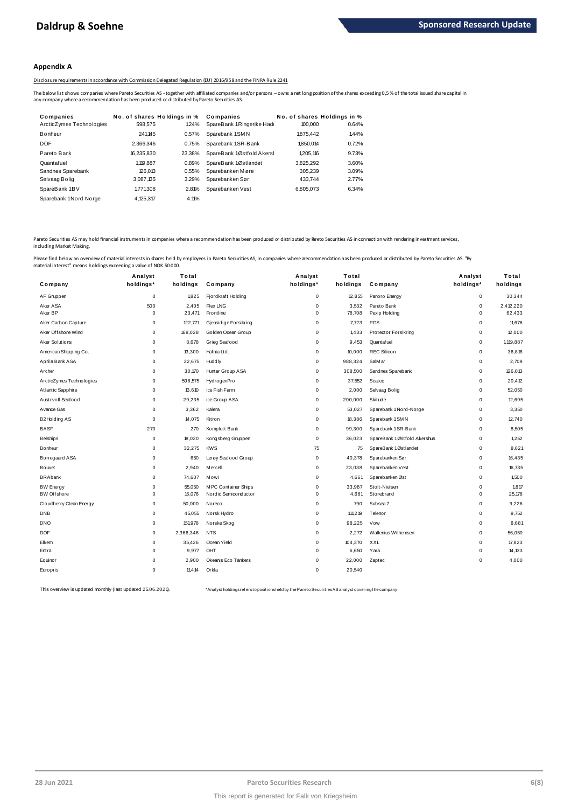#### **Appendix A**

#### Disclosure requirements in accordance with Commission Delegated Regulation (EU) 2016/958 and the FINRA Rule 2241

| Disclosure requirements in accordance with Commission Delegated Regulation (EU) 2016/958 and the FINRA Rule 2241 |                                       |        |                           |                             |       |                                                                                                                                                                                                            |
|------------------------------------------------------------------------------------------------------------------|---------------------------------------|--------|---------------------------|-----------------------------|-------|------------------------------------------------------------------------------------------------------------------------------------------------------------------------------------------------------------|
| any company where a recommendation has been produced or distributed by Pareto Securities AS.                     |                                       |        |                           |                             |       | The below list shows companies where Pareto Securities AS - together with affiliated companies and/or persons - owns a net long position of the shares exceeding 0,5% of the total issued share capital in |
| Companies                                                                                                        | No. of shares Holdings in % Companies |        |                           | No. of shares Holdings in % |       |                                                                                                                                                                                                            |
| ArcticZymes Technologies                                                                                         | 598,575                               | 1.24%  | SpareBank 1Ringerike Hadd | 100,000                     | 0.64% |                                                                                                                                                                                                            |
| Bonheur                                                                                                          | 241.145                               | 0.57%  | Sparebank 1SMN            | 1875.442                    | 1.44% |                                                                                                                                                                                                            |
| DOF                                                                                                              | 2.366.346                             | 0.75%  | Sparebank 1SR-Bank        | 1.850.014                   | 0.72% |                                                                                                                                                                                                            |
| Pareto Bank                                                                                                      | 16.235.830                            | 23.38% | SpareBank 1Østfold Akersl | 1.205.116                   | 9.73% |                                                                                                                                                                                                            |
| Quantafuel                                                                                                       | 1.119.887                             | 0.89%  | SpareBank 1Østlandet      | 3.825.292                   | 3.60% |                                                                                                                                                                                                            |
| Sandnes Sparebank                                                                                                | 126.013                               | 0.55%  | Sparebanken Møre          | 305,239                     | 3.09% |                                                                                                                                                                                                            |
| Selvaag Bolig                                                                                                    | 3,087,135                             | 3.29%  | Sparebanken Sør           | 433.744                     | 2.77% |                                                                                                                                                                                                            |
| SpareBank 1BV                                                                                                    | 1,771,308                             | 2.81%  | Sparebanken Vest          | 6.805.073                   | 6.34% |                                                                                                                                                                                                            |
| Sparebank 1Nord-Norge                                                                                            | 4.125.317                             | 4.11%  |                           |                             |       |                                                                                                                                                                                                            |

Pareto Securities AS may hold financial instruments in companies where a recommendation has been produced or distributed by Pareto Securities AS in connection with rendering investment services, including Market Making.

| naterial interest" means holdings exceeding a value of NOK 50000. |                     |           |                       |             |          |                             |             |           |
|-------------------------------------------------------------------|---------------------|-----------|-----------------------|-------------|----------|-----------------------------|-------------|-----------|
|                                                                   | Analyst             | Total     |                       | Analyst     | Total    |                             | Analyst     | Total     |
| Company                                                           | holdings*           | holdings  | Company               | holdings*   | holdings | Company                     | holdings*   | holdings  |
| AF Gruppen                                                        | $\mathsf{O}\xspace$ | 1,825     | Fjordkraft Holding    | $\mathsf 0$ | 12,855   | Panoro Energy               | 0           | 30,344    |
| Aker ASA                                                          | 500                 | 2,405     | <b>Flex LNG</b>       | $\mathbf 0$ | 3,532    | Pareto Bank                 | $\mathbf 0$ | 2,412,220 |
| Aker BP                                                           | $\mathbf 0$         | 23,471    | Frontline             | $\mathsf 0$ | 78,708   | Pexip Holding               | $\Omega$    | 62,433    |
| Aker Carbon Capture                                               | $\mathbf 0$         | 122,771   | Gjensidige Forsikring | $\mathbf 0$ | 7,723    | PGS                         | $\mathbf 0$ | 11,676    |
| Aker Offshore Wind                                                | 0                   | 168,028   | Golden Ocean Group    | 0           | 1,433    | Protector Forsikring        | 0           | 12,000    |
| Aker Solutions                                                    | $\mathbf 0$         | 3,678     | Grieg Seafood         | $\mathbf 0$ | 9,453    | Quantafuel                  | $\mathbf 0$ | 1,119,887 |
| American Shipping Co.                                             | $\mathbf 0$         | 13,300    | Hafnia Ltd.           | $\mathsf 0$ | 10,000   | <b>REC Silicon</b>          | 0           | 36,816    |
| Aprila Bank ASA                                                   | $\mathbf 0$         | 22,675    | Huddly                | $\mathbf 0$ | 988,324  | SalM ar                     | $\mathbf 0$ | 2,709     |
| Archer                                                            | 0                   | 30,170    | Hunter Group ASA      | $\mathsf 0$ | 308,500  | Sandnes Sparebank           | 0           | 126,013   |
| ArcticZymes Technologies                                          | $\Omega$            | 598,575   | HydrogenPro           | $\mathbf 0$ | 37,552   | Scatec                      | $\mathbf 0$ | 20,412    |
| Atlantic Sapphire                                                 | $\mathbf 0$         | 13,610    | Ice Fish Farm         | $\mathbf 0$ | 2,000    | Selvaag Bolig               | $\mathbf 0$ | 52,050    |
| Austevoll Seafood                                                 | $\mathbf 0$         | 29,235    | ice Group ASA         | $\mathbf 0$ | 200,000  | Skitude                     | $\mathbf 0$ | 12,695    |
| Avance Gas                                                        | $\Omega$            | 3,362     | Kalera                | $\mathbf 0$ | 53,027   | Sparebank 1 Nord-Norge      | $\mathbf 0$ | 3,350     |
| <b>B2Holding AS</b>                                               | $\mathbf 0$         | 14,075    | Kitron                | $\mathsf 0$ | 18,386   | Sparebank 1 SM N            | 0           | 12,740    |
| <b>BASF</b>                                                       | 270                 | 270       | Komplett Bank         | $\mathsf 0$ | 99,300   | Sparebank 1 SR-Bank         | $\mathbf 0$ | 8,505     |
| <b>Belships</b>                                                   | $\mathsf 0$         | 18,020    | Kongsberg Gruppen     | $\mathsf 0$ | 36,023   | SpareBank 1Østfold Akershus | 0           | 1,252     |
| Bonheur                                                           | $\mathbf 0$         | 32,275    | <b>KWS</b>            | 75          | 75       | SpareBank 1Østlandet        | $\mathbf 0$ | 8,621     |
| Borregaard ASA                                                    | $\mathsf{O}\xspace$ | 650       | Lerøy Seafood Group   | $\mathsf 0$ | 40,378   | Sparebanken Sør             | 0           | 16,435    |
| Bouvet                                                            | $\mathsf 0$         | 2,940     | M ercell              | $\mathsf 0$ | 23,038   | Sparebanken Vest            | $\mathbf 0$ | 16,735    |
| <b>BRAbank</b>                                                    | $\mathbf 0$         | 74,607    | Mowi                  | $\mathsf 0$ | 4,661    | Sparebanken Øst             | 0           | 1,500     |
| <b>BW Energy</b>                                                  | $\mathbf 0$         | 55,050    | M PC Container Ships  | $\mathbf 0$ | 33,987   | Stolt-Nielsen               | $\mathbf 0$ | 1,817     |
| <b>BW Offshore</b>                                                | $\mathbf 0$         | 16,076    | Nordic Semiconductor  | $\mathbf 0$ | 4,681    | Storebrand                  | $\mathbf 0$ | 25.178    |
| Cloudberry Clean Energy                                           | $\mathbf 0$         | 50,000    | Noreco                | 0           | 790      | Subsea 7                    | $\mathbf 0$ | 9,226     |
| <b>DNB</b>                                                        | $\mathbf 0$         | 45,055    | Norsk Hydro           | $\mathsf 0$ | 111,219  | Telenor                     | $\mathbf 0$ | 9,752     |
| <b>DNO</b>                                                        | $\mathbf 0$         | 151,978   | Norske Skog           | $\mathbf 0$ | 98,225   | Vow                         | $\mathbf 0$ | 8,681     |
| <b>DOF</b>                                                        | 0                   | 2,366,346 | <b>NTS</b>            | 0           | 2,272    | Wallenius Wilhemsen         | 0           | 56,050    |
| Elkem                                                             | $\mathbf 0$         | 35,426    | Ocean Yield           | $\mathbf 0$ | 104,370  | <b>XXL</b>                  | $\mathbf 0$ | 17,823    |
| Entra                                                             | $\Omega$            | 9,977     | OHT                   | 0           | 6,650    | Yara                        | 0           | 14,133    |
| Equinor                                                           | $\mathbf 0$         | 2,900     | Okeanis Eco Tankers   | $\mathbf 0$ | 22,000   | Zaptec                      | $\Omega$    | 4,000     |
| Europris                                                          | $\Omega$            | 11,414    | Orkla                 | $\mathbf 0$ | 20,540   |                             |             |           |
|                                                                   |                     |           |                       |             |          |                             |             |           |

This overview is updated monthly (last updated 25.06.2021). \*Analyst holdings ref ers t o posit ions held by t he Paret o Securit ies AS analyst covering t he company.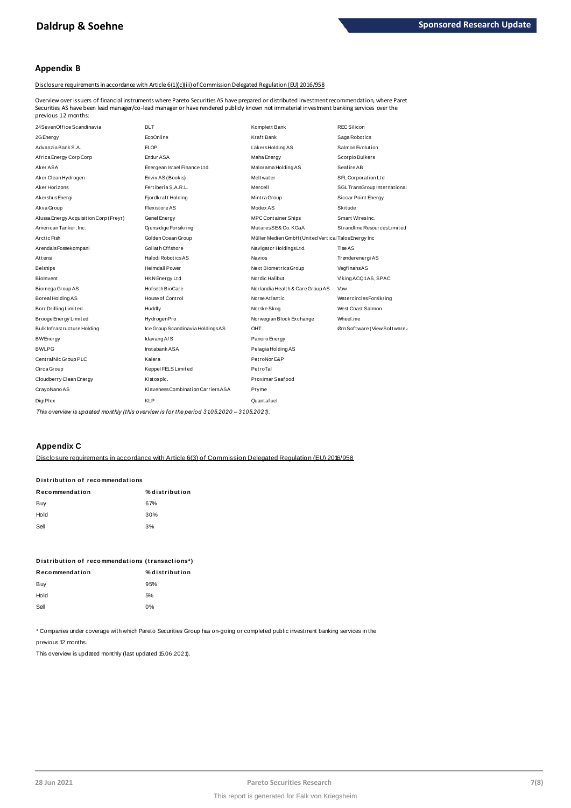# **Appendix B**

Disclosure requirements in accordance with Article 6(1)(c)(iii) of Commission Delegated Regulation (EU) 2016/958

Overview over issuers of financial instruments where Pareto Securities AS have prepared or distributed investment recommendation, where Paret Securities AS have been lead manager/co-lead manager or have rendered publidy known not immaterial investment banking services over the previous 12 months:

| 24SevenOffice Scandinavia              | <b>DLT</b>                         | Komplett Bank                                         | REC Silicon                  |
|----------------------------------------|------------------------------------|-------------------------------------------------------|------------------------------|
| 2G Energy                              | EcoOnline                          | Kraft Bank                                            | Saga Robotics                |
| Advanzia Bank S.A.                     | <b>ELOP</b>                        | LakersHoldingAS                                       | Salmon Evolution             |
| Africa Energy Corp Corp                | Endur ASA                          | Maha Energy                                           | Scorpio Bulkers              |
| Aker ASA                               | Energean Israel Finance Ltd.       | Malorama Holding AS                                   | Seafire AB                   |
| Aker Clean Hydrogen                    | Enviv AS (Bookis)                  | Meltwater                                             | SFL Corporation Ltd          |
| Aker Horizons                          | Fertiberia S.A.R.L.                | Mercell                                               | SGL TransGroup International |
| Akershus Energi                        | Fjordkraft Holding                 | Mintra Group                                          | Siccar Point Energy          |
| Akva Group                             | Flexistore AS                      | Modex AS                                              | <b>Skitude</b>               |
| Alussa Energy Acquisition Corp (Freyr) | Genel Energy                       | <b>MPC Container Ships</b>                            | Smart WiresInc.              |
| American Tanker, Inc.                  | Gjensidige Forsikring              | MutaresSE&Co.KGaA                                     | Strandline Resources Limited |
| Arctic Fish                            | Golden Ocean Group                 | Müller Medien GmbH (United Vertical Talos Energy Inc. |                              |
| ArendalsFossekompani                   | Goliath Offshore                   | Navigator HoldingsLtd.                                | Tise AS                      |
| Attensi                                | Halodi RoboticsAS                  | <b>Navios</b>                                         | Trønderenergi AS             |
| <b>Belships</b>                        | <b>Heimdall Power</b>              | Next BiometricsGroup                                  | VegfinansAS                  |
| Biolnvent                              | HKN Energy Ltd                     | Nordic Halibut                                        | Viking ACQ1AS, SPAC          |
| Biomega Group AS                       | Hof seth BioCare                   | Norlandia Health & Care Group AS                      | Vow                          |
| Boreal Holding AS                      | House of Control                   | Norse Atlantic                                        | WatercirclesForsikring       |
| Borr Drilling Limited                  | Huddly                             | Norske Skog                                           | West Coast Salmon            |
| Brooge Energy Limited                  | HydrogenPro                        | Norwegian Block Exchange                              | Wheel.me                     |
| Bulk Infrastructure Holding            | Ice Group Scandinavia HoldingsAS   | OHT                                                   | Ørn Software (View Software/ |
| <b>BWEnergy</b>                        | Idavang A/S                        | Panoro Energy                                         |                              |
| <b>BWLPG</b>                           | Inst abank ASA                     | Pelagia Holding AS                                    |                              |
| CentralNic Group PLC                   | Kalera                             | PetroNor E&P                                          |                              |
| Circa Group                            | Keppel FELS Limited                | PetroTal                                              |                              |
| Cloudberry Clean Energy                | Kistosplc.                         | Proximar Seafood                                      |                              |
| CrayoNano AS                           | Klaveness Combination Carriers ASA | Pryme                                                 |                              |
| DigiPlex                               | <b>KLP</b>                         | Quantafuel                                            |                              |
|                                        |                                    |                                                       |                              |

This overview is updated monthly (this overview is for the period 31.05.2020 - 31.05.2021).

# **Appendix C**

Disclosure requirements in accordance with Article 6(3) of Commission Delegated Requlation (EU) 2016/958

# Distribution of recommendations

| Recommendation | % distribution |
|----------------|----------------|
| Buy            | 67%            |
| Hold           | 30%            |
| Sell           | 3%             |

| Distribution of recommendations (transactions*) |                |  |  |  |  |
|-------------------------------------------------|----------------|--|--|--|--|
| Recommendation                                  | % distribution |  |  |  |  |
| Buy                                             | 95%            |  |  |  |  |
| Hold                                            | 5%             |  |  |  |  |
| Sell                                            | በ%             |  |  |  |  |

\* Companies under coverage with which Pareto Securities Group has on-going or completed public investment banking services in the

previous 12 months.

This overview is updated monthly (last updated 15.06.2021).